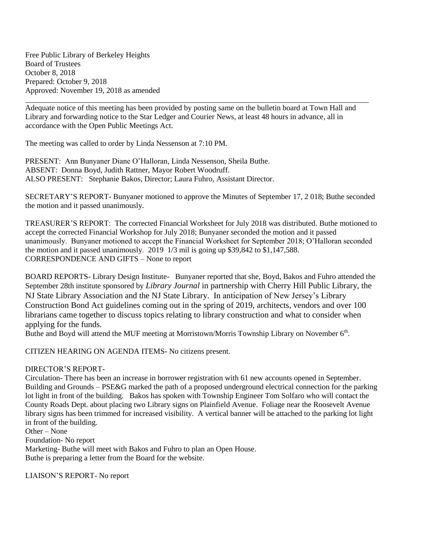Free Public Library of Berkeley Heights Board of Trustees October 8, 2018 Prepared: October 9, 2018 Approved: November 19, 2018 as amended

Adequate notice of this meeting has been provided by posting same on the bulletin board at Town Hall and Library and forwarding notice to the Star Ledger and Courier News, at least 48 hours in advance, all in accordance with the Open Public Meetings Act.

\_\_\_\_\_\_\_\_\_\_\_\_\_\_\_\_\_\_\_\_\_\_\_\_\_\_\_\_\_\_\_\_\_\_\_\_\_\_\_\_\_\_\_\_\_\_\_\_\_\_\_\_\_\_\_\_\_\_\_\_\_\_\_\_\_\_\_\_\_\_\_\_\_\_\_\_\_\_\_\_\_\_\_\_\_\_\_\_\_

The meeting was called to order by Linda Nessenson at 7:10 PM.

PRESENT: Ann Bunyaner Diane O'Halloran, Linda Nessenson, Sheila Buthe. ABSENT: Donna Boyd, Judith Rattner, Mayor Robert Woodruff. ALSO PRESENT: Stephanie Bakos, Director; Laura Fuhro, Assistant Director.

SECRETARY'S REPORT- Bunyaner motioned to approve the Minutes of September 17, 2 018; Buthe seconded the motion and it passed unanimously.

TREASURER'S REPORT: The corrected Financial Worksheet for July 2018 was distributed. Buthe motioned to accept the corrected Financial Workshop for July 2018; Bunyaner seconded the motion and it passed unanimously. Bunyaner motioned to accept the Financial Worksheet for September 2018; O'Halloran seconded the motion and it passed unanimously. 2019 1/3 mil is going up \$39,842 to \$1,147,588. CORRESPONDENCE AND GIFTS – None to report

BOARD REPORTS- Library Design Institute- Bunyaner reported that she, Boyd, Bakos and Fuhro attended the September 28th institute sponsored by *Library Journal* in partnership with Cherry Hill Public Library, the NJ State Library Association and the NJ State Library. In anticipation of New Jersey's Library Construction Bond Act guidelines coming out in the spring of 2019, architects, vendors and over 100 librarians came together to discuss topics relating to library construction and what to consider when applying for the funds.

Buthe and Boyd will attend the MUF meeting at Morristown/Morris Township Library on November  $6<sup>th</sup>$ .

CITIZEN HEARING ON AGENDA ITEMS- No citizens present.

## DIRECTOR'S REPORT-

Circulation- There has been an increase in borrower registration with 61 new accounts opened in September. Building and Grounds – PSE&G marked the path of a proposed underground electrical connection for the parking lot light in front of the building. Bakos has spoken with Township Engineer Tom Solfaro who will contact the County Roads Dept. about placing two Library signs on Plainfield Avenue. Foliage near the Roosevelt Avenue library signs has been trimmed for increased visibility. A vertical banner will be attached to the parking lot light in front of the building.

Other – None Foundation- No report Marketing- Buthe will meet with Bakos and Fuhro to plan an Open House. Buthe is preparing a letter from the Board for the website.

LIAISON'S REPORT- No report